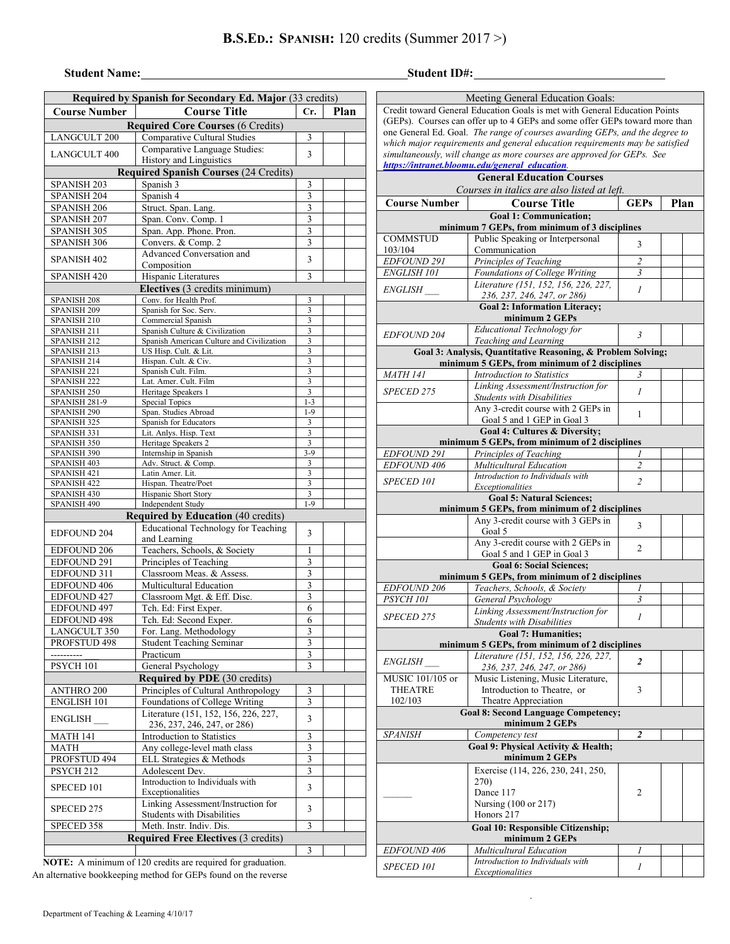## **Student Name:**

| <b>Student ID#:</b> |  |
|---------------------|--|
|---------------------|--|

| Required by Spanish for Secondary Ed. Major (33 credits) |                                                           |                              |  |  |  |  |  |  |  |
|----------------------------------------------------------|-----------------------------------------------------------|------------------------------|--|--|--|--|--|--|--|
| <b>Course Number</b>                                     | <b>Course Title</b>                                       |                              |  |  |  |  |  |  |  |
| Plan<br><b>Required Core Courses (6 Credits)</b>         |                                                           |                              |  |  |  |  |  |  |  |
| <b>LANGCULT 200</b>                                      | Comparative Cultural Studies                              | 3                            |  |  |  |  |  |  |  |
| <b>LANGCULT 400</b>                                      | Comparative Language Studies:                             | 3                            |  |  |  |  |  |  |  |
| History and Linguistics                                  |                                                           |                              |  |  |  |  |  |  |  |
|                                                          | <b>Required Spanish Courses (24 Credits)</b>              |                              |  |  |  |  |  |  |  |
| SPANISH <sub>203</sub>                                   | Spanish 3                                                 | 3                            |  |  |  |  |  |  |  |
| SPANISH 204<br>SPANISH <sub>206</sub>                    | Spanish 4<br>Struct. Span. Lang.                          | 3<br>3                       |  |  |  |  |  |  |  |
| SPANISH <sub>207</sub>                                   | Span. Conv. Comp. 1                                       | 3                            |  |  |  |  |  |  |  |
| SPANISH 305                                              | Span. App. Phone. Pron.                                   | 3                            |  |  |  |  |  |  |  |
| SPANISH 306                                              | Convers. & Comp. 2                                        | 3                            |  |  |  |  |  |  |  |
|                                                          | Advanced Conversation and                                 |                              |  |  |  |  |  |  |  |
| <b>SPANISH 402</b>                                       | Composition                                               | 3                            |  |  |  |  |  |  |  |
| <b>SPANISH 420</b>                                       | Hispanic Literatures                                      | 3                            |  |  |  |  |  |  |  |
|                                                          | Electives (3 credits minimum)                             |                              |  |  |  |  |  |  |  |
| SPANISH 208                                              | Conv. for Health Prof.                                    | 3                            |  |  |  |  |  |  |  |
| SPANISH 209<br>SPANISH <sub>210</sub>                    | Spanish for Soc. Serv.<br>Commercial Spanish              | 3<br>$\overline{3}$          |  |  |  |  |  |  |  |
| SPANISH <sub>211</sub>                                   | Spanish Culture & Civilization                            | 3                            |  |  |  |  |  |  |  |
| SPANISH <sub>212</sub>                                   | Spanish American Culture and Civilization                 | 3                            |  |  |  |  |  |  |  |
| SPANISH 213                                              | US Hisp. Cult. & Lit.                                     | 3                            |  |  |  |  |  |  |  |
| SPANISH 214                                              | Hispan. Cult. & Civ.                                      | 3<br>3                       |  |  |  |  |  |  |  |
| SPANISH <sub>221</sub><br>SPANISH <sub>222</sub>         | Spanish Cult. Film.<br>Lat. Amer. Cult. Film              | 3                            |  |  |  |  |  |  |  |
| SPANISH <sub>250</sub>                                   | Heritage Speakers 1                                       | 3                            |  |  |  |  |  |  |  |
| SPANISH 281-9                                            | <b>Special Topics</b>                                     | $1 - 3$                      |  |  |  |  |  |  |  |
| SPANISH 290                                              | Span. Studies Abroad                                      | $1-9$                        |  |  |  |  |  |  |  |
| SPANISH 325                                              | Spanish for Educators<br>Lit. Anlys. Hisp. Text           | 3<br>$\overline{\mathbf{3}}$ |  |  |  |  |  |  |  |
| SPANISH 331<br>SPANISH 350                               | Heritage Speakers 2                                       | 3                            |  |  |  |  |  |  |  |
| SPANISH 390                                              | Internship in Spanish                                     | $3-9$                        |  |  |  |  |  |  |  |
| SPANISH 403                                              | Adv. Struct. & Comp.                                      | 3                            |  |  |  |  |  |  |  |
| SPANISH 421                                              | Latin Amer. Lit.                                          | 3                            |  |  |  |  |  |  |  |
| SPANISH 422<br>SPANISH 430                               | Hispan. Theatre/Poet<br>Hispanic Short Story              | 3<br>3                       |  |  |  |  |  |  |  |
| SPANISH 490                                              | Independent Study                                         | $1-9$                        |  |  |  |  |  |  |  |
| <b>Required by Education (40 credits)</b>                |                                                           |                              |  |  |  |  |  |  |  |
|                                                          | <b>Educational Technology for Teaching</b>                |                              |  |  |  |  |  |  |  |
| <b>EDFOUND 204</b>                                       | and Learning                                              | 3                            |  |  |  |  |  |  |  |
| <b>EDFOUND 206</b>                                       | Teachers, Schools, & Society                              | 1                            |  |  |  |  |  |  |  |
| EDFOUND 291                                              | Principles of Teaching                                    | 3                            |  |  |  |  |  |  |  |
| EDFOUND 311                                              | Classroom Meas. & Assess.                                 | 3                            |  |  |  |  |  |  |  |
| EDFOUND 406                                              | Multicultural Education                                   | $\overline{\mathbf{3}}$      |  |  |  |  |  |  |  |
| EDFOUND 427                                              | Classroom Mgt. & Eff. Disc.                               | 3                            |  |  |  |  |  |  |  |
| EDFOUND 497                                              | Tch. Ed: First Exper.                                     | 6                            |  |  |  |  |  |  |  |
| <b>EDFOUND 498</b><br>LANGCULT 350                       | Tch. Ed: Second Exper.                                    | 6<br>3                       |  |  |  |  |  |  |  |
| PROFSTUD 498                                             | For. Lang. Methodology<br><b>Student Teaching Seminar</b> | 3                            |  |  |  |  |  |  |  |
| ----------                                               | Practicum                                                 | 3                            |  |  |  |  |  |  |  |
| PSYCH 101                                                | General Psychology                                        | 3                            |  |  |  |  |  |  |  |
|                                                          | <b>Required by PDE</b> (30 credits)                       |                              |  |  |  |  |  |  |  |
| <b>ANTHRO 200</b>                                        | Principles of Cultural Anthropology                       | 3                            |  |  |  |  |  |  |  |
| ENGLISH 101                                              | Foundations of College Writing                            | 3                            |  |  |  |  |  |  |  |
|                                                          | Literature (151, 152, 156, 226, 227,                      |                              |  |  |  |  |  |  |  |
| ENGLISH                                                  | 236, 237, 246, 247, or 286)                               | 3                            |  |  |  |  |  |  |  |
| <b>MATH 141</b>                                          | Introduction to Statistics                                | 3                            |  |  |  |  |  |  |  |
| <b>MATH</b>                                              | Any college-level math class                              | $\mathfrak{Z}$               |  |  |  |  |  |  |  |
| PROFSTUD 494                                             | ELL Strategies & Methods                                  | 3                            |  |  |  |  |  |  |  |
| PSYCH <sub>212</sub>                                     | Adolescent Dev.<br>Introduction to Individuals with       | 3                            |  |  |  |  |  |  |  |
| SPECED 101                                               | Exceptionalities                                          | 3                            |  |  |  |  |  |  |  |
|                                                          | Linking Assessment/Instruction for                        |                              |  |  |  |  |  |  |  |
| SPECED 275                                               | <b>Students with Disabilities</b>                         | 3                            |  |  |  |  |  |  |  |
| SPECED 358                                               | Meth. Instr. Indiv. Dis.                                  | 3                            |  |  |  |  |  |  |  |
|                                                          | <b>Required Free Electives (3 credits)</b>                |                              |  |  |  |  |  |  |  |
|                                                          |                                                           | 3                            |  |  |  |  |  |  |  |

**NOTE:** A minimum of 120 credits are required for graduation. An alternative bookkeeping method for GEPs found on the reverse

|                                                                                                                                                             | Meeting General Education Goals:                                                                              |                         |  |      |  |  |  |  |  |  |
|-------------------------------------------------------------------------------------------------------------------------------------------------------------|---------------------------------------------------------------------------------------------------------------|-------------------------|--|------|--|--|--|--|--|--|
|                                                                                                                                                             | Credit toward General Education Goals is met with General Education Points                                    |                         |  |      |  |  |  |  |  |  |
|                                                                                                                                                             | (GEPs). Courses can offer up to 4 GEPs and some offer GEPs toward more than                                   |                         |  |      |  |  |  |  |  |  |
| one General Ed. Goal. The range of courses awarding GEPs, and the degree to<br>which major requirements and general education requirements may be satisfied |                                                                                                               |                         |  |      |  |  |  |  |  |  |
| simultaneously, will change as more courses are approved for GEPs. See                                                                                      |                                                                                                               |                         |  |      |  |  |  |  |  |  |
|                                                                                                                                                             | https://intranet.bloomu.edu/general_education.                                                                |                         |  |      |  |  |  |  |  |  |
| <b>General Education Courses</b>                                                                                                                            |                                                                                                               |                         |  |      |  |  |  |  |  |  |
|                                                                                                                                                             | Courses in italics are also listed at left.                                                                   |                         |  | Plan |  |  |  |  |  |  |
| <b>Course Number</b><br><b>Course Title</b><br><b>GEPs</b><br><b>Goal 1: Communication:</b>                                                                 |                                                                                                               |                         |  |      |  |  |  |  |  |  |
| minimum 7 GEPs, from minimum of 3 disciplines                                                                                                               |                                                                                                               |                         |  |      |  |  |  |  |  |  |
| <b>COMMSTUD</b>                                                                                                                                             | Public Speaking or Interpersonal                                                                              |                         |  |      |  |  |  |  |  |  |
| 103/104                                                                                                                                                     | 3<br>Communication                                                                                            |                         |  |      |  |  |  |  |  |  |
| EDFOUND 291                                                                                                                                                 | Principles of Teaching                                                                                        | $\overline{\mathbf{c}}$ |  |      |  |  |  |  |  |  |
| ENGLISH 101                                                                                                                                                 | Foundations of College Writing                                                                                | $\overline{3}$          |  |      |  |  |  |  |  |  |
| <i>ENGLISH</i>                                                                                                                                              | Literature (151, 152, 156, 226, 227,                                                                          | 1                       |  |      |  |  |  |  |  |  |
|                                                                                                                                                             | 236, 237, 246, 247, or 286)<br><b>Goal 2: Information Literacy;</b>                                           |                         |  |      |  |  |  |  |  |  |
|                                                                                                                                                             | minimum 2 GEPs                                                                                                |                         |  |      |  |  |  |  |  |  |
| <b>EDFOUND 204</b>                                                                                                                                          | Educational Technology for                                                                                    | 3                       |  |      |  |  |  |  |  |  |
|                                                                                                                                                             | Teaching and Learning                                                                                         |                         |  |      |  |  |  |  |  |  |
|                                                                                                                                                             | Goal 3: Analysis, Quantitative Reasoning, & Problem Solving;<br>minimum 5 GEPs, from minimum of 2 disciplines |                         |  |      |  |  |  |  |  |  |
| <b>MATH 141</b>                                                                                                                                             | Introduction to Statistics                                                                                    | 3                       |  |      |  |  |  |  |  |  |
|                                                                                                                                                             | Linking Assessment/Instruction for                                                                            |                         |  |      |  |  |  |  |  |  |
| SPECED 275                                                                                                                                                  | <b>Students with Disabilities</b>                                                                             | 1                       |  |      |  |  |  |  |  |  |
|                                                                                                                                                             | Any 3-credit course with 2 GEPs in                                                                            | 1                       |  |      |  |  |  |  |  |  |
|                                                                                                                                                             | Goal 5 and 1 GEP in Goal 3<br>Goal 4: Cultures & Diversity;                                                   |                         |  |      |  |  |  |  |  |  |
|                                                                                                                                                             | minimum 5 GEPs, from minimum of 2 disciplines                                                                 |                         |  |      |  |  |  |  |  |  |
| EDFOUND 291                                                                                                                                                 | Principles of Teaching                                                                                        | 1                       |  |      |  |  |  |  |  |  |
| EDFOUND 406                                                                                                                                                 | Multicultural Education                                                                                       | $\overline{c}$          |  |      |  |  |  |  |  |  |
| SPECED 101                                                                                                                                                  | Introduction to Individuals with                                                                              | $\overline{2}$          |  |      |  |  |  |  |  |  |
| Exceptionalities<br><b>Goal 5: Natural Sciences;</b>                                                                                                        |                                                                                                               |                         |  |      |  |  |  |  |  |  |
| minimum 5 GEPs, from minimum of 2 disciplines                                                                                                               |                                                                                                               |                         |  |      |  |  |  |  |  |  |
|                                                                                                                                                             | Any 3-credit course with 3 GEPs in                                                                            | 3                       |  |      |  |  |  |  |  |  |
|                                                                                                                                                             | Goal 5                                                                                                        |                         |  |      |  |  |  |  |  |  |
|                                                                                                                                                             | Any 3-credit course with 2 GEPs in<br>Goal 5 and 1 GEP in Goal 3                                              | 2                       |  |      |  |  |  |  |  |  |
| <b>Goal 6: Social Sciences:</b>                                                                                                                             |                                                                                                               |                         |  |      |  |  |  |  |  |  |
|                                                                                                                                                             | minimum 5 GEPs, from minimum of 2 disciplines                                                                 |                         |  |      |  |  |  |  |  |  |
| <b>EDFOUND 206</b>                                                                                                                                          | Teachers, Schools, & Society                                                                                  | 1                       |  |      |  |  |  |  |  |  |
| PSYCH <sub>101</sub>                                                                                                                                        | General Psychology                                                                                            | 3                       |  |      |  |  |  |  |  |  |
| SPECED 275                                                                                                                                                  | Linking Assessment/Instruction for<br><b>Students with Disabilities</b>                                       | $\overline{I}$          |  |      |  |  |  |  |  |  |
|                                                                                                                                                             | <b>Goal 7: Humanities;</b>                                                                                    |                         |  |      |  |  |  |  |  |  |
|                                                                                                                                                             | minimum 5 GEPs, from minimum of 2 disciplines                                                                 |                         |  |      |  |  |  |  |  |  |
| <i>ENGLISH</i>                                                                                                                                              | Literature (151, 152, 156, 226, 227,                                                                          | $\overline{2}$          |  |      |  |  |  |  |  |  |
| MUSIC 101/105 or                                                                                                                                            | 236, 237, 246, 247, or 286)<br>Music Listening, Music Literature,                                             |                         |  |      |  |  |  |  |  |  |
| <b>THEATRE</b>                                                                                                                                              | Introduction to Theatre, or                                                                                   | 3                       |  |      |  |  |  |  |  |  |
| 102/103                                                                                                                                                     | Theatre Appreciation                                                                                          |                         |  |      |  |  |  |  |  |  |
|                                                                                                                                                             | <b>Goal 8: Second Language Competency;</b>                                                                    |                         |  |      |  |  |  |  |  |  |
| <b>SPANISH</b>                                                                                                                                              | minimum 2 GEPs<br>Competency test                                                                             | 2                       |  |      |  |  |  |  |  |  |
|                                                                                                                                                             | Goal 9: Physical Activity & Health;                                                                           |                         |  |      |  |  |  |  |  |  |
|                                                                                                                                                             | minimum 2 GEPs                                                                                                |                         |  |      |  |  |  |  |  |  |
|                                                                                                                                                             | Exercise (114, 226, 230, 241, 250,                                                                            |                         |  |      |  |  |  |  |  |  |
|                                                                                                                                                             | 270)                                                                                                          |                         |  |      |  |  |  |  |  |  |
|                                                                                                                                                             | Dance 117<br>Nursing (100 or 217)                                                                             | 2                       |  |      |  |  |  |  |  |  |
|                                                                                                                                                             | Honors 217                                                                                                    |                         |  |      |  |  |  |  |  |  |
|                                                                                                                                                             | Goal 10: Responsible Citizenship;                                                                             |                         |  |      |  |  |  |  |  |  |
|                                                                                                                                                             | minimum 2 GEPs                                                                                                |                         |  |      |  |  |  |  |  |  |
| <b>EDFOUND 406</b>                                                                                                                                          | Multicultural Education                                                                                       | 1                       |  |      |  |  |  |  |  |  |
| <i>SPECED 101</i>                                                                                                                                           | Introduction to Individuals with<br>Exceptionalities                                                          | 1                       |  |      |  |  |  |  |  |  |
|                                                                                                                                                             |                                                                                                               |                         |  |      |  |  |  |  |  |  |

.